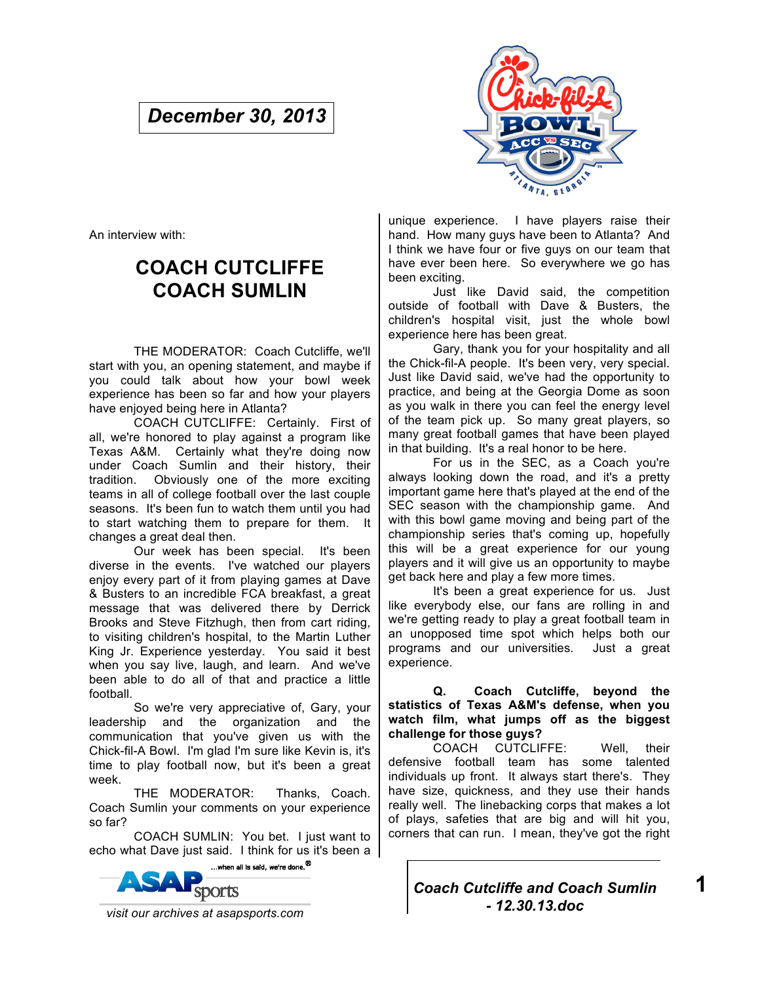# *December 30, 2013*



An interview with:

# **COACH CUTCLIFFE COACH SUMLIN**

THE MODERATOR: Coach Cutcliffe, we'll start with you, an opening statement, and maybe if you could talk about how your bowl week experience has been so far and how your players have enjoyed being here in Atlanta?

COACH CUTCLIFFE: Certainly. First of all, we're honored to play against a program like Texas A&M. Certainly what they're doing now under Coach Sumlin and their history, their tradition. Obviously one of the more exciting teams in all of college football over the last couple seasons. It's been fun to watch them until you had to start watching them to prepare for them. It changes a great deal then.

Our week has been special. It's been diverse in the events. I've watched our players enjoy every part of it from playing games at Dave & Busters to an incredible FCA breakfast, a great message that was delivered there by Derrick Brooks and Steve Fitzhugh, then from cart riding, to visiting children's hospital, to the Martin Luther King Jr. Experience yesterday. You said it best when you say live, laugh, and learn. And we've been able to do all of that and practice a little football.

So we're very appreciative of, Gary, your leadership and the organization and the communication that you've given us with the Chick-fil-A Bowl. I'm glad I'm sure like Kevin is, it's time to play football now, but it's been a great week.

THE MODERATOR: Thanks, Coach. Coach Sumlin your comments on your experience so far?

COACH SUMLIN: You bet. I just want to echo what Dave just said. I think for us it's been a



unique experience. I have players raise their hand. How many guys have been to Atlanta? And I think we have four or five guys on our team that have ever been here. So everywhere we go has been exciting.

Just like David said, the competition outside of football with Dave & Busters, the children's hospital visit, just the whole bowl experience here has been great.

Gary, thank you for your hospitality and all the Chick-fil-A people. It's been very, very special. Just like David said, we've had the opportunity to practice, and being at the Georgia Dome as soon as you walk in there you can feel the energy level of the team pick up. So many great players, so many great football games that have been played in that building. It's a real honor to be here.

For us in the SEC, as a Coach you're always looking down the road, and it's a pretty important game here that's played at the end of the SEC season with the championship game. And with this bowl game moving and being part of the championship series that's coming up, hopefully this will be a great experience for our young players and it will give us an opportunity to maybe get back here and play a few more times.

It's been a great experience for us. Just like everybody else, our fans are rolling in and we're getting ready to play a great football team in an unopposed time spot which helps both our programs and our universities. Just a great experience.

**Q. Coach Cutcliffe, beyond the statistics of Texas A&M's defense, when you watch film, what jumps off as the biggest challenge for those guys?**

COACH CUTCLIFFE: Well, their defensive football team has some talented individuals up front. It always start there's. They have size, quickness, and they use their hands really well. The linebacking corps that makes a lot of plays, safeties that are big and will hit you, corners that can run. I mean, they've got the right



**1**

 *visit our archives at asapsports.com*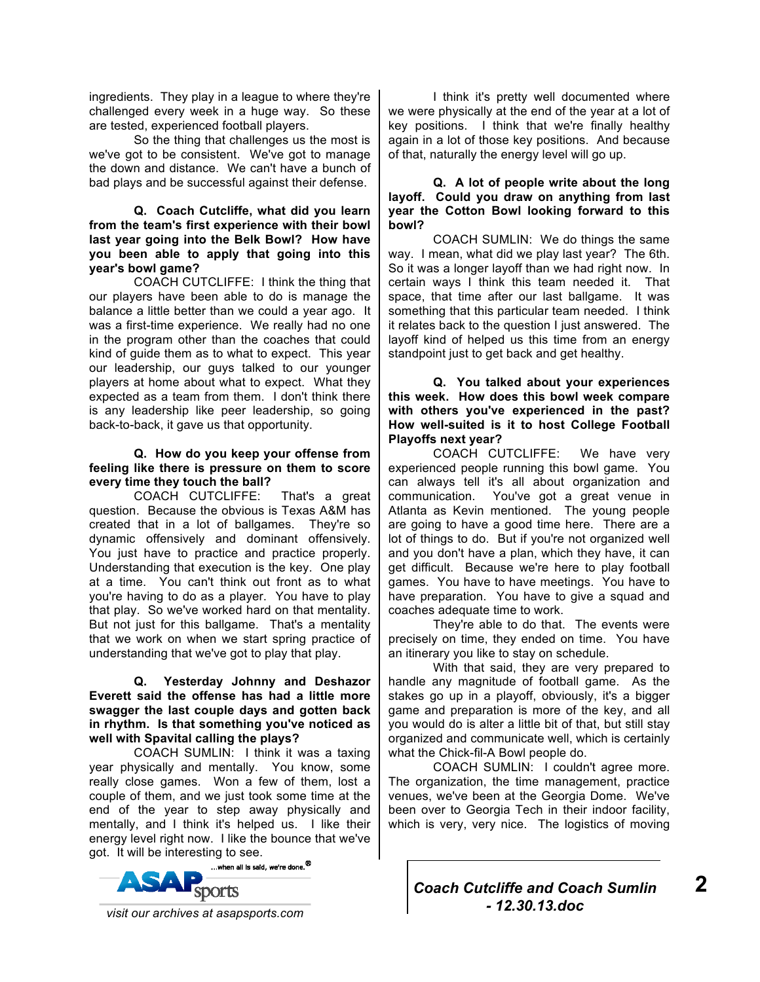ingredients. They play in a league to where they're challenged every week in a huge way. So these are tested, experienced football players.

So the thing that challenges us the most is we've got to be consistent. We've got to manage the down and distance. We can't have a bunch of bad plays and be successful against their defense.

#### **Q. Coach Cutcliffe, what did you learn from the team's first experience with their bowl last year going into the Belk Bowl? How have you been able to apply that going into this year's bowl game?**

COACH CUTCLIFFE: I think the thing that our players have been able to do is manage the balance a little better than we could a year ago. It was a first-time experience. We really had no one in the program other than the coaches that could kind of guide them as to what to expect. This year our leadership, our guys talked to our younger players at home about what to expect. What they expected as a team from them. I don't think there is any leadership like peer leadership, so going back-to-back, it gave us that opportunity.

#### **Q. How do you keep your offense from feeling like there is pressure on them to score every time they touch the ball?**

COACH CUTCLIFFE: That's a great question. Because the obvious is Texas A&M has created that in a lot of ballgames. They're so dynamic offensively and dominant offensively. You just have to practice and practice properly. Understanding that execution is the key. One play at a time. You can't think out front as to what you're having to do as a player. You have to play that play. So we've worked hard on that mentality. But not just for this ballgame. That's a mentality that we work on when we start spring practice of understanding that we've got to play that play.

### **Q. Yesterday Johnny and Deshazor Everett said the offense has had a little more swagger the last couple days and gotten back in rhythm. Is that something you've noticed as well with Spavital calling the plays?**

COACH SUMLIN: I think it was a taxing year physically and mentally. You know, some really close games. Won a few of them, lost a couple of them, and we just took some time at the end of the year to step away physically and mentally, and I think it's helped us. I like their energy level right now. I like the bounce that we've



I think it's pretty well documented where we were physically at the end of the year at a lot of key positions. I think that we're finally healthy again in a lot of those key positions. And because of that, naturally the energy level will go up.

## **Q. A lot of people write about the long layoff. Could you draw on anything from last year the Cotton Bowl looking forward to this bowl?**

COACH SUMLIN: We do things the same way. I mean, what did we play last year? The 6th. So it was a longer layoff than we had right now. In certain ways I think this team needed it. That space, that time after our last ballgame. It was something that this particular team needed. I think it relates back to the question I just answered. The layoff kind of helped us this time from an energy standpoint just to get back and get healthy.

## **Q. You talked about your experiences this week. How does this bowl week compare with others you've experienced in the past? How well-suited is it to host College Football Playoffs next year?**

COACH CUTCLIFFE: We have very experienced people running this bowl game. You can always tell it's all about organization and communication. You've got a great venue in Atlanta as Kevin mentioned. The young people are going to have a good time here. There are a lot of things to do. But if you're not organized well and you don't have a plan, which they have, it can get difficult. Because we're here to play football games. You have to have meetings. You have to have preparation. You have to give a squad and coaches adequate time to work.

They're able to do that. The events were precisely on time, they ended on time. You have an itinerary you like to stay on schedule.

With that said, they are very prepared to handle any magnitude of football game. As the stakes go up in a playoff, obviously, it's a bigger game and preparation is more of the key, and all you would do is alter a little bit of that, but still stay organized and communicate well, which is certainly what the Chick-fil-A Bowl people do.

COACH SUMLIN: I couldn't agree more. The organization, the time management, practice venues, we've been at the Georgia Dome. We've been over to Georgia Tech in their indoor facility, which is very, very nice. The logistics of moving

*Coach Cutcliffe and Coach Sumlin - 12.30.13.doc*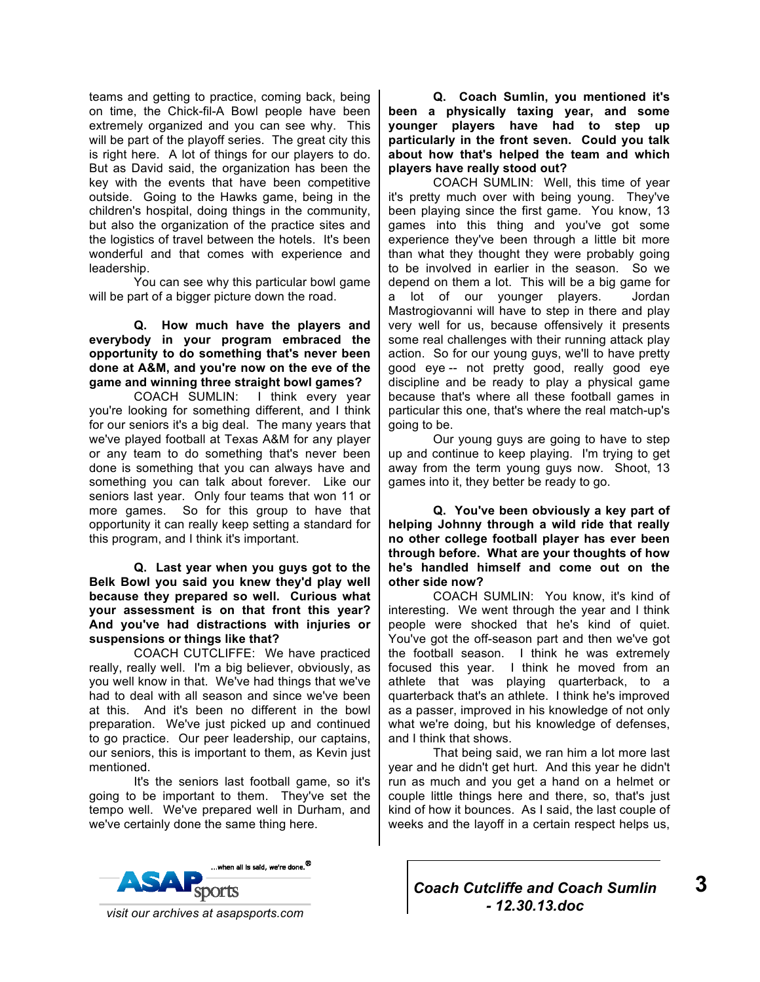teams and getting to practice, coming back, being on time, the Chick-fil-A Bowl people have been extremely organized and you can see why. This will be part of the playoff series. The great city this is right here. A lot of things for our players to do. But as David said, the organization has been the key with the events that have been competitive outside. Going to the Hawks game, being in the children's hospital, doing things in the community, but also the organization of the practice sites and the logistics of travel between the hotels. It's been wonderful and that comes with experience and leadership.

You can see why this particular bowl game will be part of a bigger picture down the road.

**Q. How much have the players and everybody in your program embraced the opportunity to do something that's never been done at A&M, and you're now on the eve of the game and winning three straight bowl games?** 

COACH SUMLIN: I think every year you're looking for something different, and I think for our seniors it's a big deal. The many years that we've played football at Texas A&M for any player or any team to do something that's never been done is something that you can always have and something you can talk about forever. Like our seniors last year. Only four teams that won 11 or more games. So for this group to have that opportunity it can really keep setting a standard for this program, and I think it's important.

**Q. Last year when you guys got to the Belk Bowl you said you knew they'd play well because they prepared so well. Curious what your assessment is on that front this year? And you've had distractions with injuries or suspensions or things like that?** 

COACH CUTCLIFFE: We have practiced really, really well. I'm a big believer, obviously, as you well know in that. We've had things that we've had to deal with all season and since we've been at this. And it's been no different in the bowl preparation. We've just picked up and continued to go practice. Our peer leadership, our captains, our seniors, this is important to them, as Kevin just mentioned.

It's the seniors last football game, so it's going to be important to them. They've set the tempo well. We've prepared well in Durham, and we've certainly done the same thing here.



**Q. Coach Sumlin, you mentioned it's been a physically taxing year, and some younger players have had to step up particularly in the front seven. Could you talk about how that's helped the team and which players have really stood out?** 

COACH SUMLIN: Well, this time of year it's pretty much over with being young. They've been playing since the first game. You know, 13 games into this thing and you've got some experience they've been through a little bit more than what they thought they were probably going to be involved in earlier in the season. So we depend on them a lot. This will be a big game for a lot of our younger players. Jordan Mastrogiovanni will have to step in there and play very well for us, because offensively it presents some real challenges with their running attack play action. So for our young guys, we'll to have pretty good eye -- not pretty good, really good eye discipline and be ready to play a physical game because that's where all these football games in particular this one, that's where the real match-up's going to be.

Our young guys are going to have to step up and continue to keep playing. I'm trying to get away from the term young guys now. Shoot, 13 games into it, they better be ready to go.

**Q. You've been obviously a key part of helping Johnny through a wild ride that really no other college football player has ever been through before. What are your thoughts of how he's handled himself and come out on the other side now?** 

COACH SUMLIN: You know, it's kind of interesting. We went through the year and I think people were shocked that he's kind of quiet. You've got the off-season part and then we've got the football season. I think he was extremely focused this year. I think he moved from an athlete that was playing quarterback, to a quarterback that's an athlete. I think he's improved as a passer, improved in his knowledge of not only what we're doing, but his knowledge of defenses, and I think that shows.

That being said, we ran him a lot more last year and he didn't get hurt. And this year he didn't run as much and you get a hand on a helmet or couple little things here and there, so, that's just kind of how it bounces. As I said, the last couple of weeks and the layoff in a certain respect helps us,

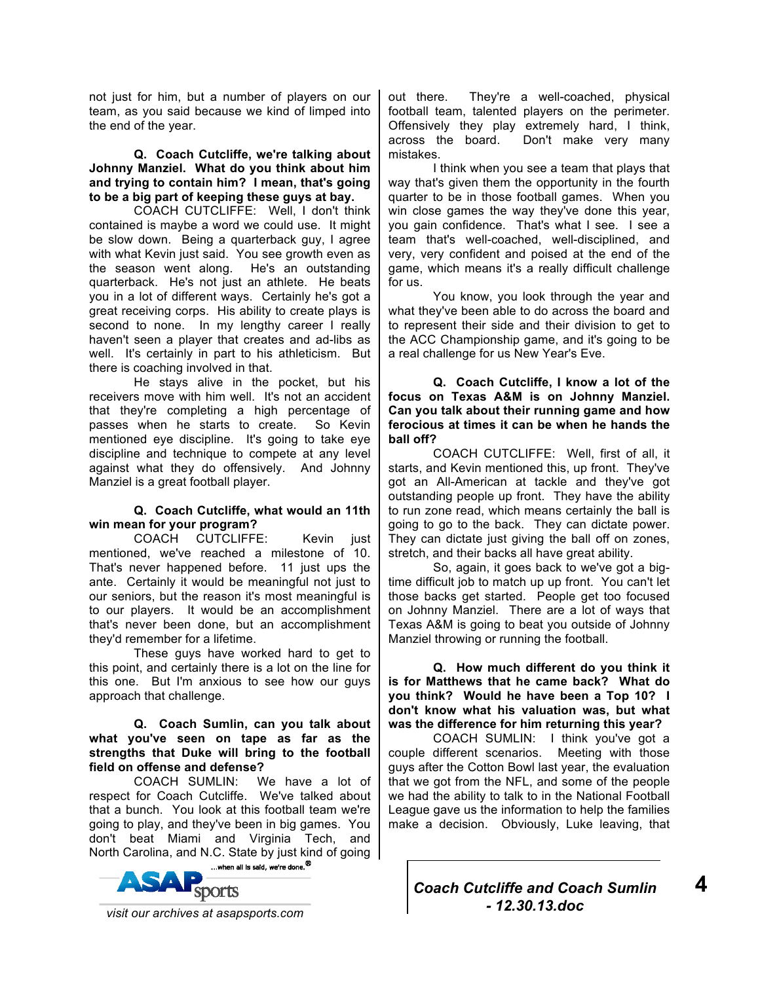not just for him, but a number of players on our team, as you said because we kind of limped into the end of the year.

### **Q. Coach Cutcliffe, we're talking about Johnny Manziel. What do you think about him and trying to contain him? I mean, that's going to be a big part of keeping these guys at bay.**

COACH CUTCLIFFE: Well, I don't think contained is maybe a word we could use. It might be slow down. Being a quarterback guy, I agree with what Kevin just said. You see growth even as the season went along. He's an outstanding quarterback. He's not just an athlete. He beats you in a lot of different ways. Certainly he's got a great receiving corps. His ability to create plays is second to none. In my lengthy career I really haven't seen a player that creates and ad-libs as well. It's certainly in part to his athleticism. But there is coaching involved in that.

He stays alive in the pocket, but his receivers move with him well. It's not an accident that they're completing a high percentage of passes when he starts to create. So Kevin mentioned eye discipline. It's going to take eye discipline and technique to compete at any level against what they do offensively. And Johnny Manziel is a great football player.

# **Q. Coach Cutcliffe, what would an 11th win mean for your program?**

COACH CUTCLIFFE: Kevin just mentioned, we've reached a milestone of 10. That's never happened before. 11 just ups the ante. Certainly it would be meaningful not just to our seniors, but the reason it's most meaningful is to our players. It would be an accomplishment that's never been done, but an accomplishment they'd remember for a lifetime.

These guys have worked hard to get to this point, and certainly there is a lot on the line for this one. But I'm anxious to see how our guys approach that challenge.

## **Q. Coach Sumlin, can you talk about what you've seen on tape as far as the strengths that Duke will bring to the football field on offense and defense?**

COACH SUMLIN: We have a lot of respect for Coach Cutcliffe. We've talked about that a bunch. You look at this football team we're going to play, and they've been in big games. You don't beat Miami and Virginia Tech, and North Carolina, and N.C. State by just kind of going



out there. They're a well-coached, physical football team, talented players on the perimeter. Offensively they play extremely hard, I think, across the board. Don't make very many mistakes.

I think when you see a team that plays that way that's given them the opportunity in the fourth quarter to be in those football games. When you win close games the way they've done this year, you gain confidence. That's what I see. I see a team that's well-coached, well-disciplined, and very, very confident and poised at the end of the game, which means it's a really difficult challenge for us.

You know, you look through the year and what they've been able to do across the board and to represent their side and their division to get to the ACC Championship game, and it's going to be a real challenge for us New Year's Eve.

**Q. Coach Cutcliffe, I know a lot of the focus on Texas A&M is on Johnny Manziel. Can you talk about their running game and how ferocious at times it can be when he hands the ball off?** 

COACH CUTCLIFFE: Well, first of all, it starts, and Kevin mentioned this, up front. They've got an All-American at tackle and they've got outstanding people up front. They have the ability to run zone read, which means certainly the ball is going to go to the back. They can dictate power. They can dictate just giving the ball off on zones, stretch, and their backs all have great ability.

So, again, it goes back to we've got a bigtime difficult job to match up up front. You can't let those backs get started. People get too focused on Johnny Manziel. There are a lot of ways that Texas A&M is going to beat you outside of Johnny Manziel throwing or running the football.

**Q. How much different do you think it is for Matthews that he came back? What do you think? Would he have been a Top 10? I don't know what his valuation was, but what was the difference for him returning this year?** 

COACH SUMLIN: I think you've got a couple different scenarios. Meeting with those guys after the Cotton Bowl last year, the evaluation that we got from the NFL, and some of the people we had the ability to talk to in the National Football League gave us the information to help the families make a decision. Obviously, Luke leaving, that



**4**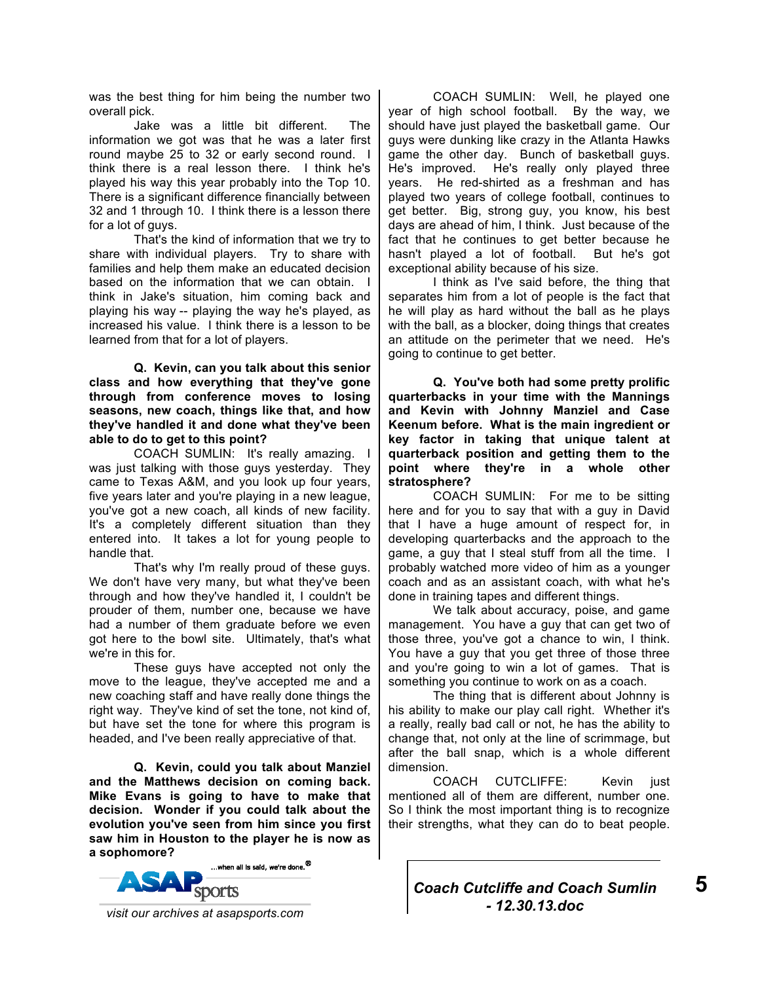was the best thing for him being the number two overall pick.

Jake was a little bit different. The information we got was that he was a later first round maybe 25 to 32 or early second round. I think there is a real lesson there. I think he's played his way this year probably into the Top 10. There is a significant difference financially between 32 and 1 through 10. I think there is a lesson there for a lot of guys.

That's the kind of information that we try to share with individual players. Try to share with families and help them make an educated decision based on the information that we can obtain. I think in Jake's situation, him coming back and playing his way -- playing the way he's played, as increased his value. I think there is a lesson to be learned from that for a lot of players.

**Q. Kevin, can you talk about this senior class and how everything that they've gone through from conference moves to losing seasons, new coach, things like that, and how they've handled it and done what they've been able to do to get to this point?** 

COACH SUMLIN: It's really amazing. I was just talking with those guys yesterday. They came to Texas A&M, and you look up four years, five years later and you're playing in a new league, you've got a new coach, all kinds of new facility. It's a completely different situation than they entered into. It takes a lot for young people to handle that.

That's why I'm really proud of these guys. We don't have very many, but what they've been through and how they've handled it, I couldn't be prouder of them, number one, because we have had a number of them graduate before we even got here to the bowl site. Ultimately, that's what we're in this for.

These guys have accepted not only the move to the league, they've accepted me and a new coaching staff and have really done things the right way. They've kind of set the tone, not kind of, but have set the tone for where this program is headed, and I've been really appreciative of that.

**Q. Kevin, could you talk about Manziel and the Matthews decision on coming back. Mike Evans is going to have to make that decision. Wonder if you could talk about the evolution you've seen from him since you first saw him in Houston to the player he is now as a sophomore?** 



COACH SUMLIN: Well, he played one year of high school football. By the way, we should have just played the basketball game. Our guys were dunking like crazy in the Atlanta Hawks game the other day. Bunch of basketball guys. He's improved. He's really only played three years. He red-shirted as a freshman and has played two years of college football, continues to get better. Big, strong guy, you know, his best days are ahead of him, I think. Just because of the fact that he continues to get better because he hasn't played a lot of football. But he's got exceptional ability because of his size.

I think as I've said before, the thing that separates him from a lot of people is the fact that he will play as hard without the ball as he plays with the ball, as a blocker, doing things that creates an attitude on the perimeter that we need. He's going to continue to get better.

**Q. You've both had some pretty prolific quarterbacks in your time with the Mannings and Kevin with Johnny Manziel and Case Keenum before. What is the main ingredient or key factor in taking that unique talent at quarterback position and getting them to the point where they're in a whole other stratosphere?** 

COACH SUMLIN: For me to be sitting here and for you to say that with a guy in David that I have a huge amount of respect for, in developing quarterbacks and the approach to the game, a guy that I steal stuff from all the time. I probably watched more video of him as a younger coach and as an assistant coach, with what he's done in training tapes and different things.

We talk about accuracy, poise, and game management. You have a guy that can get two of those three, you've got a chance to win, I think. You have a guy that you get three of those three and you're going to win a lot of games. That is something you continue to work on as a coach.

The thing that is different about Johnny is his ability to make our play call right. Whether it's a really, really bad call or not, he has the ability to change that, not only at the line of scrimmage, but after the ball snap, which is a whole different dimension.

COACH CUTCLIFFE: Kevin just mentioned all of them are different, number one. So I think the most important thing is to recognize their strengths, what they can do to beat people.



**5**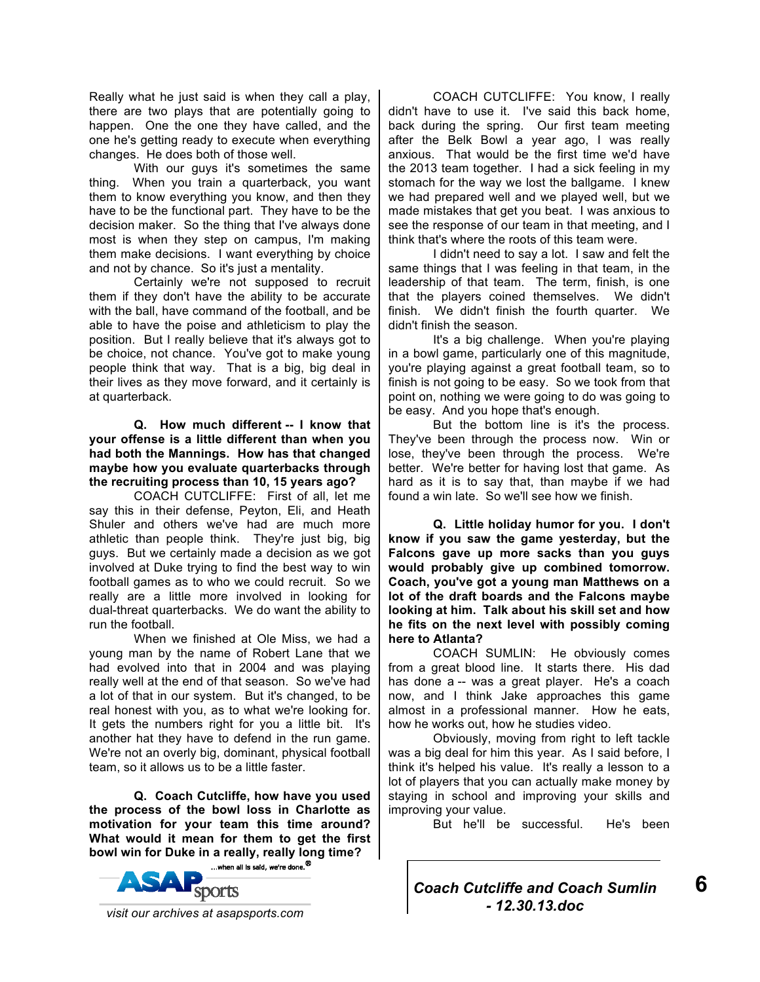Really what he just said is when they call a play, there are two plays that are potentially going to happen. One the one they have called, and the one he's getting ready to execute when everything changes. He does both of those well.

With our guys it's sometimes the same thing. When you train a quarterback, you want them to know everything you know, and then they have to be the functional part. They have to be the decision maker. So the thing that I've always done most is when they step on campus, I'm making them make decisions. I want everything by choice and not by chance. So it's just a mentality.

Certainly we're not supposed to recruit them if they don't have the ability to be accurate with the ball, have command of the football, and be able to have the poise and athleticism to play the position. But I really believe that it's always got to be choice, not chance. You've got to make young people think that way. That is a big, big deal in their lives as they move forward, and it certainly is at quarterback.

**Q. How much different -- I know that your offense is a little different than when you had both the Mannings. How has that changed maybe how you evaluate quarterbacks through the recruiting process than 10, 15 years ago?** 

COACH CUTCLIFFE: First of all, let me say this in their defense, Peyton, Eli, and Heath Shuler and others we've had are much more athletic than people think. They're just big, big guys. But we certainly made a decision as we got involved at Duke trying to find the best way to win football games as to who we could recruit. So we really are a little more involved in looking for dual-threat quarterbacks. We do want the ability to run the football.

When we finished at Ole Miss, we had a young man by the name of Robert Lane that we had evolved into that in 2004 and was playing really well at the end of that season. So we've had a lot of that in our system. But it's changed, to be real honest with you, as to what we're looking for. It gets the numbers right for you a little bit. It's another hat they have to defend in the run game. We're not an overly big, dominant, physical football team, so it allows us to be a little faster.

**Q. Coach Cutcliffe, how have you used the process of the bowl loss in Charlotte as motivation for your team this time around? What would it mean for them to get the first bowl win for Duke in a really, really long time?** 



COACH CUTCLIFFE: You know, I really didn't have to use it. I've said this back home, back during the spring. Our first team meeting after the Belk Bowl a year ago, I was really anxious. That would be the first time we'd have the 2013 team together. I had a sick feeling in my stomach for the way we lost the ballgame. I knew we had prepared well and we played well, but we made mistakes that get you beat. I was anxious to see the response of our team in that meeting, and I think that's where the roots of this team were.

I didn't need to say a lot. I saw and felt the same things that I was feeling in that team, in the leadership of that team. The term, finish, is one that the players coined themselves. We didn't finish. We didn't finish the fourth quarter. We didn't finish the season.

It's a big challenge. When you're playing in a bowl game, particularly one of this magnitude, you're playing against a great football team, so to finish is not going to be easy. So we took from that point on, nothing we were going to do was going to be easy. And you hope that's enough.

But the bottom line is it's the process. They've been through the process now. Win or lose, they've been through the process. We're better. We're better for having lost that game. As hard as it is to say that, than maybe if we had found a win late. So we'll see how we finish.

**Q. Little holiday humor for you. I don't know if you saw the game yesterday, but the Falcons gave up more sacks than you guys would probably give up combined tomorrow. Coach, you've got a young man Matthews on a lot of the draft boards and the Falcons maybe looking at him. Talk about his skill set and how he fits on the next level with possibly coming here to Atlanta?** 

COACH SUMLIN: He obviously comes from a great blood line. It starts there. His dad has done a -- was a great player. He's a coach now, and I think Jake approaches this game almost in a professional manner. How he eats, how he works out, how he studies video.

Obviously, moving from right to left tackle was a big deal for him this year. As I said before, I think it's helped his value. It's really a lesson to a lot of players that you can actually make money by staying in school and improving your skills and improving your value.

But he'll be successful. He's been